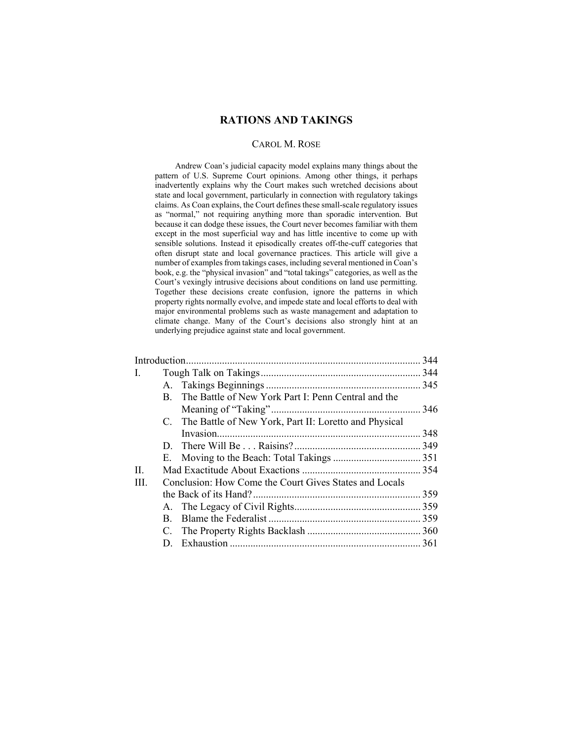# **RATIONS AND TAKINGS**

# CAROL M. ROSE

Andrew Coan's judicial capacity model explains many things about the pattern of U.S. Supreme Court opinions. Among other things, it perhaps inadvertently explains why the Court makes such wretched decisions about state and local government, particularly in connection with regulatory takings claims. As Coan explains, the Court defines these small-scale regulatory issues as "normal," not requiring anything more than sporadic intervention. But because it can dodge these issues, the Court never becomes familiar with them except in the most superficial way and has little incentive to come up with sensible solutions. Instead it episodically creates off-the-cuff categories that often disrupt state and local governance practices. This article will give a number of examples from takings cases, including several mentioned in Coan's book, e.g. the "physical invasion" and "total takings" categories, as well as the Court's vexingly intrusive decisions about conditions on land use permitting. Together these decisions create confusion, ignore the patterns in which property rights normally evolve, and impede state and local efforts to deal with major environmental problems such as waste management and adaptation to climate change. Many of the Court's decisions also strongly hint at an underlying prejudice against state and local government.

| I.   |    |                                                          |  |
|------|----|----------------------------------------------------------|--|
|      |    |                                                          |  |
|      | B. | The Battle of New York Part I: Penn Central and the      |  |
|      |    |                                                          |  |
|      |    | C. The Battle of New York, Part II: Loretto and Physical |  |
|      |    |                                                          |  |
|      |    |                                                          |  |
|      |    |                                                          |  |
| II.  |    |                                                          |  |
| III. |    | Conclusion: How Come the Court Gives States and Locals   |  |
|      |    |                                                          |  |
|      |    |                                                          |  |
|      | B. |                                                          |  |
|      |    |                                                          |  |
|      | D. |                                                          |  |
|      |    |                                                          |  |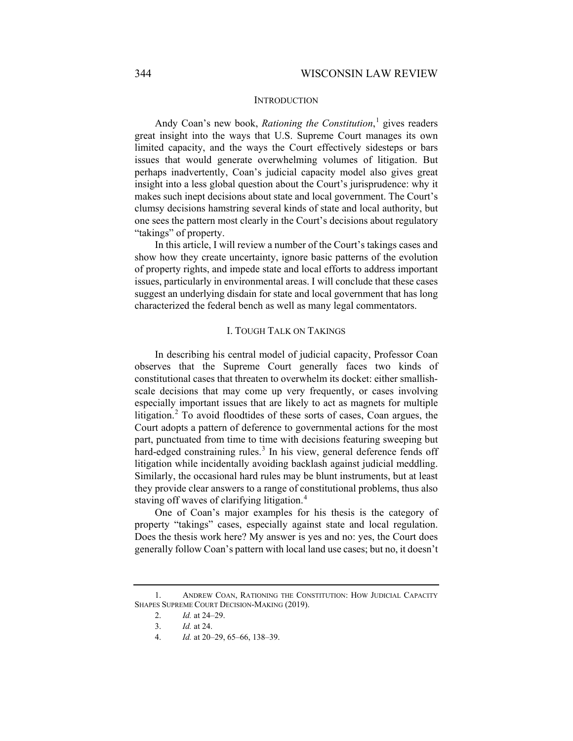### <span id="page-1-4"></span>**INTRODUCTION**

Andy Coan's new book, *Rationing the Constitution*, [1](#page-1-0) gives readers great insight into the ways that U.S. Supreme Court manages its own limited capacity, and the ways the Court effectively sidesteps or bars issues that would generate overwhelming volumes of litigation. But perhaps inadvertently, Coan's judicial capacity model also gives great insight into a less global question about the Court's jurisprudence: why it makes such inept decisions about state and local government. The Court's clumsy decisions hamstring several kinds of state and local authority, but one sees the pattern most clearly in the Court's decisions about regulatory "takings" of property.

In this article, I will review a number of the Court's takings cases and show how they create uncertainty, ignore basic patterns of the evolution of property rights, and impede state and local efforts to address important issues, particularly in environmental areas. I will conclude that these cases suggest an underlying disdain for state and local government that has long characterized the federal bench as well as many legal commentators.

### I. TOUGH TALK ON TAKINGS

In describing his central model of judicial capacity, Professor Coan observes that the Supreme Court generally faces two kinds of constitutional cases that threaten to overwhelm its docket: either smallishscale decisions that may come up very frequently, or cases involving especially important issues that are likely to act as magnets for multiple litigation.<sup>[2](#page-1-1)</sup> To avoid floodtides of these sorts of cases, Coan argues, the Court adopts a pattern of deference to governmental actions for the most part, punctuated from time to time with decisions featuring sweeping but hard-edged constraining rules.<sup>[3](#page-1-2)</sup> In his view, general deference fends off litigation while incidentally avoiding backlash against judicial meddling. Similarly, the occasional hard rules may be blunt instruments, but at least they provide clear answers to a range of constitutional problems, thus also staving off waves of clarifying litigation.<sup>[4](#page-1-3)</sup>

One of Coan's major examples for his thesis is the category of property "takings" cases, especially against state and local regulation. Does the thesis work here? My answer is yes and no: yes, the Court does generally follow Coan's pattern with local land use cases; but no, it doesn't

<span id="page-1-3"></span><span id="page-1-2"></span><span id="page-1-1"></span><span id="page-1-0"></span><sup>1.</sup> ANDREW COAN, RATIONING THE CONSTITUTION: HOW JUDICIAL CAPACITY SHAPES SUPREME COURT DECISION-MAKING (2019).

<sup>2.</sup> *Id.* at 24–29.

<sup>3.</sup> *Id.* at 24.

<sup>4.</sup> *Id.* at 20–29, 65–66, 138–39.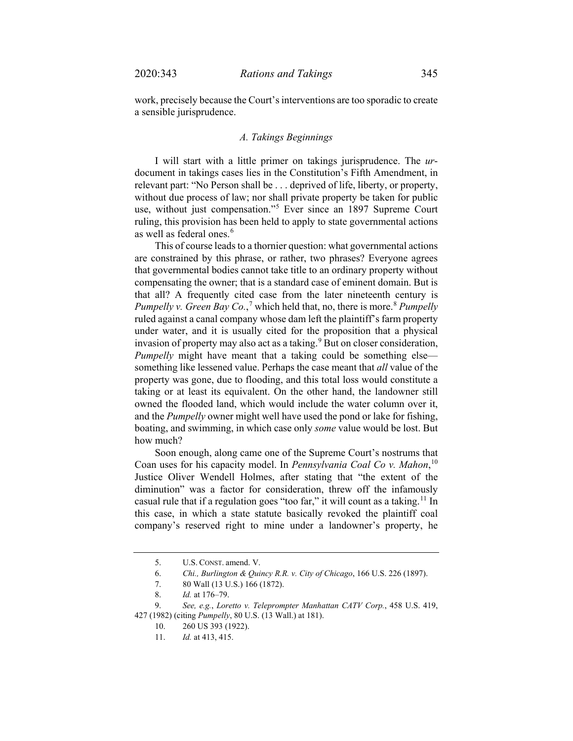work, precisely because the Court's interventions are too sporadic to create a sensible jurisprudence.

#### *A. Takings Beginnings*

I will start with a little primer on takings jurisprudence. The *ur*document in takings cases lies in the Constitution's Fifth Amendment, in relevant part: "No Person shall be . . . deprived of life, liberty, or property, without due process of law; nor shall private property be taken for public use, without just compensation."[5](#page-2-0) Ever since an 1897 Supreme Court ruling, this provision has been held to apply to state governmental actions as well as federal ones.<sup>[6](#page-2-1)</sup>

This of course leads to a thornier question: what governmental actions are constrained by this phrase, or rather, two phrases? Everyone agrees that governmental bodies cannot take title to an ordinary property without compensating the owner; that is a standard case of eminent domain. But is that all? A frequently cited case from the later nineteenth century is *Pumpelly v. Green Bay Co.*,<sup>[7](#page-2-2)</sup> which held that, no, there is more.<sup>[8](#page-2-3)</sup> *Pumpelly* ruled against a canal company whose dam left the plaintiff's farm property under water, and it is usually cited for the proposition that a physical invasion of property may also act as a taking.<sup>[9](#page-2-4)</sup> But on closer consideration, *Pumpelly* might have meant that a taking could be something else something like lessened value. Perhaps the case meant that *all* value of the property was gone, due to flooding, and this total loss would constitute a taking or at least its equivalent. On the other hand, the landowner still owned the flooded land, which would include the water column over it, and the *Pumpelly* owner might well have used the pond or lake for fishing, boating, and swimming, in which case only *some* value would be lost. But how much?

Soon enough, along came one of the Supreme Court's nostrums that Coan uses for his capacity model. In *Pennsylvania Coal Co v. Mahon*, [10](#page-2-5) Justice Oliver Wendell Holmes, after stating that "the extent of the diminution" was a factor for consideration, threw off the infamously casual rule that if a regulation goes "too far," it will count as a taking.<sup>[11](#page-2-6)</sup> In this case, in which a state statute basically revoked the plaintiff coal company's reserved right to mine under a landowner's property, he

<sup>5.</sup> U.S. CONST. amend. V.

<sup>6.</sup> *Chi., Burlington & Quincy R.R. v. City of Chicago*, 166 U.S. 226 (1897).

<sup>7.</sup> 80 Wall (13 U.S.) 166 (1872).

<sup>8.</sup> *Id.* at 176–79.

<span id="page-2-6"></span><span id="page-2-5"></span><span id="page-2-4"></span><span id="page-2-3"></span><span id="page-2-2"></span><span id="page-2-1"></span><span id="page-2-0"></span><sup>9.</sup> *See, e.g.*, *Loretto v. Teleprompter Manhattan CATV Corp.*, 458 U.S. 419, 427 (1982) (citing *Pumpelly*, 80 U.S. (13 Wall.) at 181).

<sup>10.</sup> 260 US 393 (1922).

<sup>11.</sup> *Id.* at 413, 415.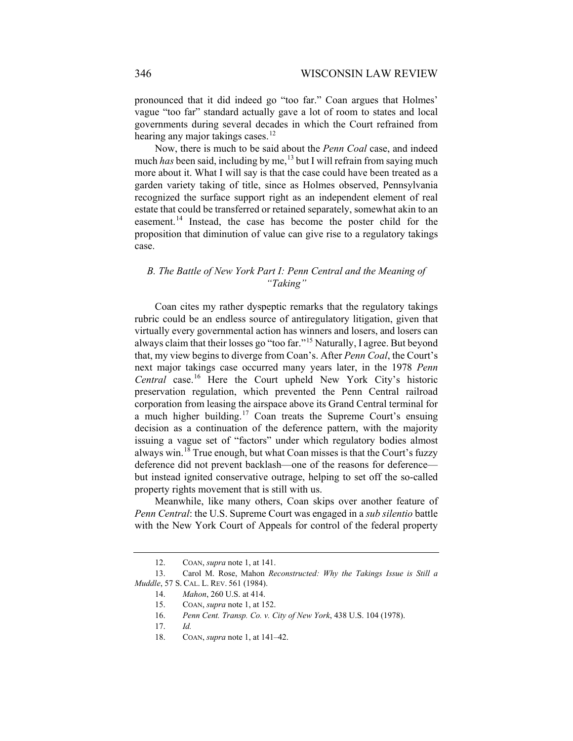pronounced that it did indeed go "too far." Coan argues that Holmes' vague "too far" standard actually gave a lot of room to states and local governments during several decades in which the Court refrained from hearing any major takings cases. $^{12}$  $^{12}$  $^{12}$ 

Now, there is much to be said about the *Penn Coal* case, and indeed much *has* been said, including by me,<sup>[13](#page-3-1)</sup> but I will refrain from saying much more about it. What I will say is that the case could have been treated as a garden variety taking of title, since as Holmes observed, Pennsylvania recognized the surface support right as an independent element of real estate that could be transferred or retained separately, somewhat akin to an easement.<sup>[14](#page-3-2)</sup> Instead, the case has become the poster child for the proposition that diminution of value can give rise to a regulatory takings case.

# *B. The Battle of New York Part I: Penn Central and the Meaning of "Taking"*

Coan cites my rather dyspeptic remarks that the regulatory takings rubric could be an endless source of antiregulatory litigation, given that virtually every governmental action has winners and losers, and losers can always claim that their losses go "too far."[15](#page-3-3) Naturally, I agree. But beyond that, my view begins to diverge from Coan's. After *Penn Coal*, the Court's next major takings case occurred many years later, in the 1978 *Penn Central* case.[16](#page-3-4) Here the Court upheld New York City's historic preservation regulation, which prevented the Penn Central railroad corporation from leasing the airspace above its Grand Central terminal for a much higher building.<sup>[17](#page-3-5)</sup> Coan treats the Supreme Court's ensuing decision as a continuation of the deference pattern, with the majority issuing a vague set of "factors" under which regulatory bodies almost always win.<sup>[18](#page-3-6)</sup> True enough, but what Coan misses is that the Court's fuzzy deference did not prevent backlash—one of the reasons for deference but instead ignited conservative outrage, helping to set off the so-called property rights movement that is still with us.

Meanwhile, like many others, Coan skips over another feature of *Penn Central*: the U.S. Supreme Court was engaged in a *sub silentio* battle with the New York Court of Appeals for control of the federal property

<sup>12.</sup> COAN, *supra* not[e 1,](#page-1-4) at 141.

<span id="page-3-6"></span><span id="page-3-5"></span><span id="page-3-4"></span><span id="page-3-3"></span><span id="page-3-2"></span><span id="page-3-1"></span><span id="page-3-0"></span><sup>13.</sup> Carol M. Rose, Mahon *Reconstructed: Why the Takings Issue is Still a Muddle*, 57 S. CAL. L. REV. 561 (1984).

<sup>14.</sup> *Mahon*, 260 U.S. at 414.

<sup>15.</sup> COAN, *supra* not[e 1,](#page-1-4) at 152.

<sup>16.</sup> *Penn Cent. Transp. Co. v. City of New York*, 438 U.S. 104 (1978).

<sup>17.</sup> *Id.*

<sup>18.</sup> COAN, *supra* not[e 1,](#page-1-4) at 141–42.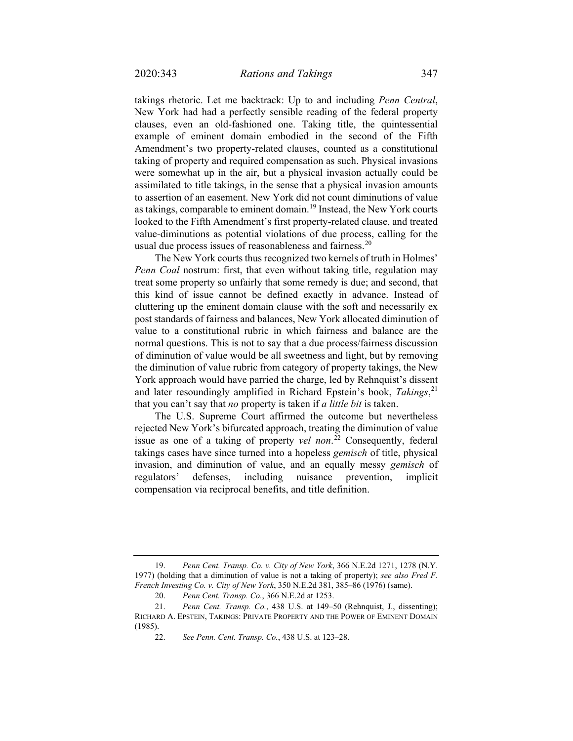takings rhetoric. Let me backtrack: Up to and including *Penn Central*, New York had had a perfectly sensible reading of the federal property clauses, even an old-fashioned one. Taking title, the quintessential example of eminent domain embodied in the second of the Fifth Amendment's two property-related clauses, counted as a constitutional taking of property and required compensation as such. Physical invasions were somewhat up in the air, but a physical invasion actually could be assimilated to title takings, in the sense that a physical invasion amounts to assertion of an easement. New York did not count diminutions of value as takings, comparable to eminent domain.[19](#page-4-0) Instead, the New York courts looked to the Fifth Amendment's first property-related clause, and treated value-diminutions as potential violations of due process, calling for the usual due process issues of reasonableness and fairness. $^{20}$  $^{20}$  $^{20}$ 

The New York courts thus recognized two kernels of truth in Holmes' *Penn Coal* nostrum: first, that even without taking title, regulation may treat some property so unfairly that some remedy is due; and second, that this kind of issue cannot be defined exactly in advance. Instead of cluttering up the eminent domain clause with the soft and necessarily ex post standards of fairness and balances, New York allocated diminution of value to a constitutional rubric in which fairness and balance are the normal questions. This is not to say that a due process/fairness discussion of diminution of value would be all sweetness and light, but by removing the diminution of value rubric from category of property takings, the New York approach would have parried the charge, led by Rehnquist's dissent and later resoundingly amplified in Richard Epstein's book, *Takings*, [21](#page-4-2) that you can't say that *no* property is taken if *a little bit* is taken.

The U.S. Supreme Court affirmed the outcome but nevertheless rejected New York's bifurcated approach, treating the diminution of value issue as one of a taking of property *vel non*. [22](#page-4-3) Consequently, federal takings cases have since turned into a hopeless *gemisch* of title, physical invasion, and diminution of value, and an equally messy *gemisch* of regulators' defenses, including nuisance prevention, implicit compensation via reciprocal benefits, and title definition.

<span id="page-4-0"></span><sup>19.</sup> *Penn Cent. Transp. Co. v. City of New York*, 366 N.E.2d 1271, 1278 (N.Y. 1977) (holding that a diminution of value is not a taking of property); *see also Fred F. French Investing Co. v. City of New York*, 350 N.E.2d 381, 385–86 (1976) (same).

<sup>20.</sup> *Penn Cent. Transp. Co.*, 366 N.E.2d at 1253.

<span id="page-4-3"></span><span id="page-4-2"></span><span id="page-4-1"></span><sup>21.</sup> *Penn Cent. Transp. Co.*, 438 U.S. at 149–50 (Rehnquist, J., dissenting); RICHARD A. EPSTEIN, TAKINGS: PRIVATE PROPERTY AND THE POWER OF EMINENT DOMAIN (1985).

<sup>22.</sup> *See Penn. Cent. Transp. Co.*, 438 U.S. at 123–28.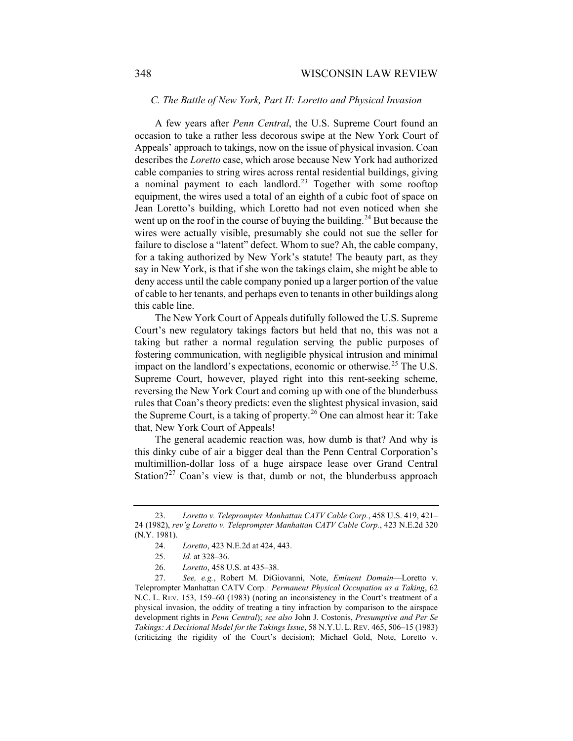### *C. The Battle of New York, Part II: Loretto and Physical Invasion*

A few years after *Penn Central*, the U.S. Supreme Court found an occasion to take a rather less decorous swipe at the New York Court of Appeals' approach to takings, now on the issue of physical invasion. Coan describes the *Loretto* case, which arose because New York had authorized cable companies to string wires across rental residential buildings, giving a nominal payment to each landlord.<sup>[23](#page-5-0)</sup> Together with some rooftop equipment, the wires used a total of an eighth of a cubic foot of space on Jean Loretto's building, which Loretto had not even noticed when she went up on the roof in the course of buying the building.<sup>[24](#page-5-1)</sup> But because the wires were actually visible, presumably she could not sue the seller for failure to disclose a "latent" defect. Whom to sue? Ah, the cable company, for a taking authorized by New York's statute! The beauty part, as they say in New York, is that if she won the takings claim, she might be able to deny access until the cable company ponied up a larger portion of the value of cable to her tenants, and perhaps even to tenants in other buildings along this cable line.

The New York Court of Appeals dutifully followed the U.S. Supreme Court's new regulatory takings factors but held that no, this was not a taking but rather a normal regulation serving the public purposes of fostering communication, with negligible physical intrusion and minimal impact on the landlord's expectations, economic or otherwise.<sup>[25](#page-5-2)</sup> The U.S. Supreme Court, however, played right into this rent-seeking scheme, reversing the New York Court and coming up with one of the blunderbuss rules that Coan's theory predicts: even the slightest physical invasion, said the Supreme Court, is a taking of property.<sup>[26](#page-5-3)</sup> One can almost hear it: Take that, New York Court of Appeals!

The general academic reaction was, how dumb is that? And why is this dinky cube of air a bigger deal than the Penn Central Corporation's multimillion-dollar loss of a huge airspace lease over Grand Central Station?<sup>[27](#page-5-4)</sup> Coan's view is that, dumb or not, the blunderbuss approach

<span id="page-5-1"></span><span id="page-5-0"></span><sup>23.</sup> *Loretto v. Teleprompter Manhattan CATV Cable Corp.*, 458 U.S. 419, 421– 24 (1982), *rev'g Loretto v. Teleprompter Manhattan CATV Cable Corp.*, 423 N.E.2d 320 (N.Y. 1981).

<sup>24.</sup> *Loretto*, 423 N.E.2d at 424, 443.

<sup>25.</sup> *Id.* at 328–36.

<sup>26.</sup> *Loretto*, 458 U.S. at 435–38.

<span id="page-5-4"></span><span id="page-5-3"></span><span id="page-5-2"></span><sup>27.</sup> *See, e.g.*, Robert M. DiGiovanni, Note, *Eminent Domain*—Loretto v. Teleprompter Manhattan CATV Corp.*: Permanent Physical Occupation as a Taking*, 62 N.C. L. REV. 153, 159–60 (1983) (noting an inconsistency in the Court's treatment of a physical invasion, the oddity of treating a tiny infraction by comparison to the airspace development rights in *Penn Central*); *see also* John J. Costonis, *Presumptive and Per Se Takings: A Decisional Model for the Takings Issue*, 58 N.Y.U. L.REV. 465, 506–15 (1983) (criticizing the rigidity of the Court's decision); Michael Gold, Note, Loretto v.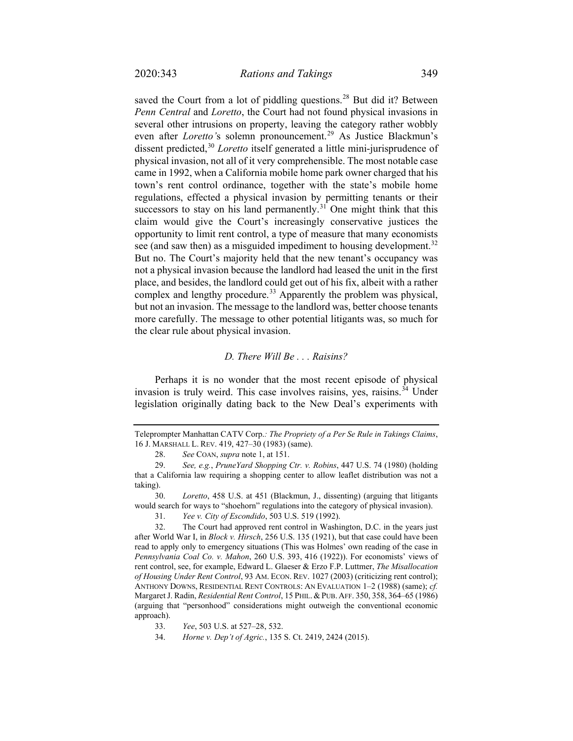saved the Court from a lot of piddling questions.<sup>[28](#page-6-0)</sup> But did it? Between *Penn Central* and *Loretto*, the Court had not found physical invasions in several other intrusions on property, leaving the category rather wobbly even after *Loretto'*s solemn pronouncement.[29](#page-6-1) As Justice Blackmun's dissent predicted,<sup>[30](#page-6-2)</sup> *Loretto* itself generated a little mini-jurisprudence of physical invasion, not all of it very comprehensible. The most notable case came in 1992, when a California mobile home park owner charged that his town's rent control ordinance, together with the state's mobile home regulations, effected a physical invasion by permitting tenants or their successors to stay on his land permanently.<sup>[31](#page-6-3)</sup> One might think that this claim would give the Court's increasingly conservative justices the opportunity to limit rent control, a type of measure that many economists see (and saw then) as a misguided impediment to housing development.<sup>[32](#page-6-4)</sup> But no. The Court's majority held that the new tenant's occupancy was not a physical invasion because the landlord had leased the unit in the first place, and besides, the landlord could get out of his fix, albeit with a rather complex and lengthy procedure.<sup>[33](#page-6-5)</sup> Apparently the problem was physical, but not an invasion. The message to the landlord was, better choose tenants more carefully. The message to other potential litigants was, so much for the clear rule about physical invasion.

## *D. There Will Be . . . Raisins?*

Perhaps it is no wonder that the most recent episode of physical invasion is truly weird. This case involves raisins, yes, raisins.  $34$  Under legislation originally dating back to the New Deal's experiments with

Teleprompter Manhattan CATV Corp.*: The Propriety of a Per Se Rule in Takings Claims*, 16 J. MARSHALL L. REV. 419, 427–30 (1983) (same).

<sup>28.</sup> *See* COAN, *supra* note [1,](#page-1-4) at 151.

<span id="page-6-1"></span><span id="page-6-0"></span><sup>29.</sup> *See, e.g.*, *PruneYard Shopping Ctr. v. Robins*, 447 U.S. 74 (1980) (holding that a California law requiring a shopping center to allow leaflet distribution was not a taking).

<span id="page-6-2"></span><sup>30.</sup> *Loretto*, 458 U.S. at 451 (Blackmun, J., dissenting) (arguing that litigants would search for ways to "shoehorn" regulations into the category of physical invasion).

<sup>31.</sup> *Yee v. City of Escondido*, 503 U.S. 519 (1992).

<span id="page-6-4"></span><span id="page-6-3"></span><sup>32.</sup> The Court had approved rent control in Washington, D.C. in the years just after World War I, in *Block v. Hirsch*, 256 U.S. 135 (1921), but that case could have been read to apply only to emergency situations (This was Holmes' own reading of the case in *Pennsylvania Coal Co. v. Mahon*, 260 U.S. 393, 416 (1922)). For economists' views of rent control, see, for example, Edward L. Glaeser & Erzo F.P. Luttmer, *The Misallocation of Housing Under Rent Control*, 93 AM. ECON. REV. 1027 (2003) (criticizing rent control); ANTHONY DOWNS, RESIDENTIAL RENT CONTROLS: AN EVALUATION 1–2 (1988) (same); *cf.* Margaret J. Radin, *Residential Rent Control*, 15 PHIL. &PUB. AFF. 350, 358, 364–65 (1986) (arguing that "personhood" considerations might outweigh the conventional economic approach).

<span id="page-6-5"></span><sup>33.</sup> *Yee*, 503 U.S. at 527–28, 532.

<span id="page-6-6"></span><sup>34.</sup> *Horne v. Dep't of Agric.*, 135 S. Ct. 2419, 2424 (2015).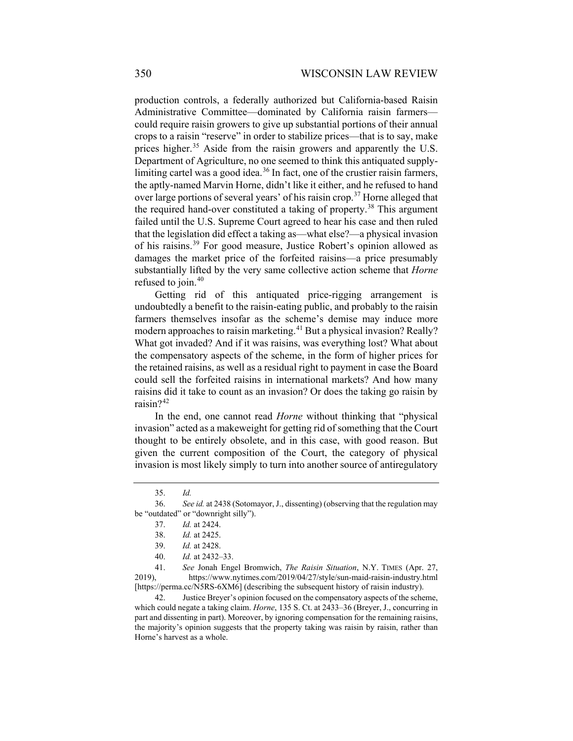production controls, a federally authorized but California-based Raisin Administrative Committee—dominated by California raisin farmers could require raisin growers to give up substantial portions of their annual crops to a raisin "reserve" in order to stabilize prices—that is to say, make prices higher.<sup>[35](#page-7-0)</sup> Aside from the raisin growers and apparently the U.S. Department of Agriculture, no one seemed to think this antiquated supply-limiting cartel was a good idea.<sup>[36](#page-7-1)</sup> In fact, one of the crustier raisin farmers, the aptly-named Marvin Horne, didn't like it either, and he refused to hand over large portions of several years' of his raisin crop.<sup>[37](#page-7-2)</sup> Horne alleged that the required hand-over constituted a taking of property.<sup>[38](#page-7-3)</sup> This argument failed until the U.S. Supreme Court agreed to hear his case and then ruled that the legislation did effect a taking as—what else?—a physical invasion of his raisins.[39](#page-7-4) For good measure, Justice Robert's opinion allowed as damages the market price of the forfeited raisins—a price presumably substantially lifted by the very same collective action scheme that *Horne* refused to join. $40$ 

Getting rid of this antiquated price-rigging arrangement is undoubtedly a benefit to the raisin-eating public, and probably to the raisin farmers themselves insofar as the scheme's demise may induce more modern approaches to raisin marketing.<sup>[41](#page-7-6)</sup> But a physical invasion? Really? What got invaded? And if it was raisins, was everything lost? What about the compensatory aspects of the scheme, in the form of higher prices for the retained raisins, as well as a residual right to payment in case the Board could sell the forfeited raisins in international markets? And how many raisins did it take to count as an invasion? Or does the taking go raisin by raisin?<sup>[42](#page-7-7)</sup>

In the end, one cannot read *Horne* without thinking that "physical invasion" acted as a makeweight for getting rid of something that the Court thought to be entirely obsolete, and in this case, with good reason. But given the current composition of the Court, the category of physical invasion is most likely simply to turn into another source of antiregulatory

<span id="page-7-6"></span><span id="page-7-5"></span><span id="page-7-4"></span>41. *See* Jonah Engel Bromwich, *The Raisin Situation*, N.Y. TIMES (Apr. 27, 2019), https://www.nytimes.com/2019/04/27/style/sun-maid-raisin-industry.html [https://perma.cc/N5RS-6XM6] (describing the subsequent history of raisin industry).

<span id="page-7-7"></span>42. Justice Breyer's opinion focused on the compensatory aspects of the scheme, which could negate a taking claim. *Horne*, 135 S. Ct. at 2433–36 (Breyer, J., concurring in part and dissenting in part). Moreover, by ignoring compensation for the remaining raisins, the majority's opinion suggests that the property taking was raisin by raisin, rather than Horne's harvest as a whole.

<sup>35.</sup> *Id.*

<span id="page-7-3"></span><span id="page-7-2"></span><span id="page-7-1"></span><span id="page-7-0"></span><sup>36.</sup> *See id.* at 2438 (Sotomayor, J., dissenting) (observing that the regulation may be "outdated" or "downright silly").

<sup>37.</sup> *Id.* at 2424.

<sup>38.</sup> *Id.* at 2425.

<sup>39.</sup> *Id.* at 2428.

<sup>40.</sup> *Id.* at 2432–33.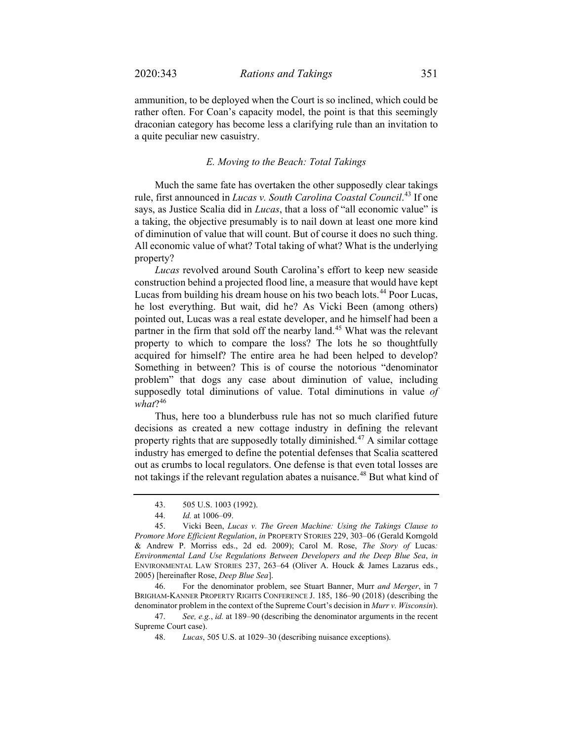ammunition, to be deployed when the Court is so inclined, which could be rather often. For Coan's capacity model, the point is that this seemingly draconian category has become less a clarifying rule than an invitation to a quite peculiar new casuistry.

### *E. Moving to the Beach: Total Takings*

Much the same fate has overtaken the other supposedly clear takings rule, first announced in *Lucas v. South Carolina Coastal Council*. [43](#page-8-0) If one says, as Justice Scalia did in *Lucas*, that a loss of "all economic value" is a taking, the objective presumably is to nail down at least one more kind of diminution of value that will count. But of course it does no such thing. All economic value of what? Total taking of what? What is the underlying property?

<span id="page-8-6"></span>*Lucas* revolved around South Carolina's effort to keep new seaside construction behind a projected flood line, a measure that would have kept Lucas from building his dream house on his two beach lots.<sup>[44](#page-8-1)</sup> Poor Lucas, he lost everything. But wait, did he? As Vicki Been (among others) pointed out, Lucas was a real estate developer, and he himself had been a partner in the firm that sold off the nearby land.<sup>[45](#page-8-2)</sup> What was the relevant property to which to compare the loss? The lots he so thoughtfully acquired for himself? The entire area he had been helped to develop? Something in between? This is of course the notorious "denominator problem" that dogs any case about diminution of value, including supposedly total diminutions of value. Total diminutions in value *of what*?[46](#page-8-3)

<span id="page-8-7"></span>Thus, here too a blunderbuss rule has not so much clarified future decisions as created a new cottage industry in defining the relevant property rights that are supposedly totally diminished.<sup>[47](#page-8-4)</sup> A similar cottage industry has emerged to define the potential defenses that Scalia scattered out as crumbs to local regulators. One defense is that even total losses are not takings if the relevant regulation abates a nuisance.<sup>[48](#page-8-5)</sup> But what kind of

<span id="page-8-3"></span>46. For the denominator problem, see Stuart Banner, Murr *and Merger*, in 7 BRIGHAM-KANNER PROPERTY RIGHTS CONFERENCE J. 185, 186–90 (2018) (describing the denominator problem in the context of the Supreme Court's decision in *Murr v. Wisconsin*).

<sup>43.</sup> 505 U.S. 1003 (1992).

<sup>44.</sup> *Id.* at 1006–09.

<span id="page-8-2"></span><span id="page-8-1"></span><span id="page-8-0"></span><sup>45.</sup> Vicki Been, *Lucas v. The Green Machine: Using the Takings Clause to Promore More Efficient Regulation*, *in* PROPERTY STORIES 229, 303–06 (Gerald Korngold & Andrew P. Morriss eds., 2d ed. 2009); Carol M. Rose, *The Story of* Lucas*: Environmental Land Use Regulations Between Developers and the Deep Blue Sea*, *in* ENVIRONMENTAL LAW STORIES 237, 263–64 (Oliver A. Houck & James Lazarus eds., 2005) [hereinafter Rose, *Deep Blue Sea*].

<span id="page-8-5"></span><span id="page-8-4"></span><sup>47.</sup> *See, e.g.*, *id.* at 189–90 (describing the denominator arguments in the recent Supreme Court case).

<sup>48.</sup> *Lucas*, 505 U.S. at 1029–30 (describing nuisance exceptions).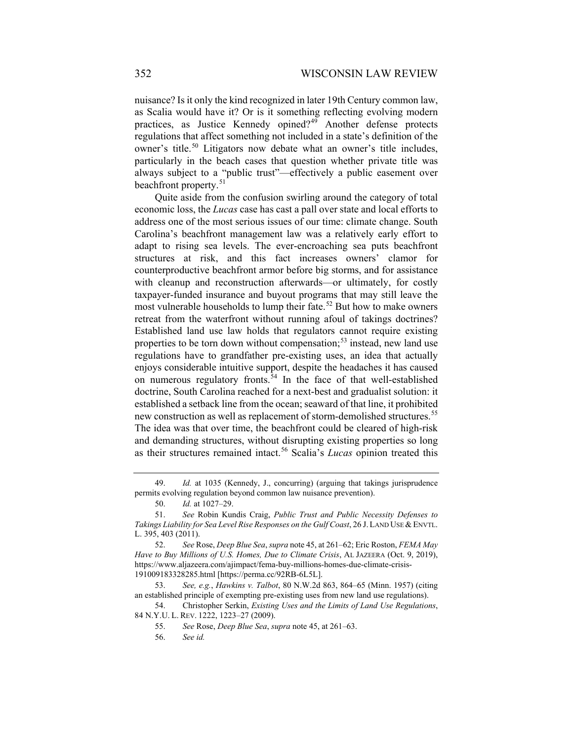nuisance? Is it only the kind recognized in later 19th Century common law, as Scalia would have it? Or is it something reflecting evolving modern practices, as Justice Kennedy opined?[49](#page-9-0) Another defense protects regulations that affect something not included in a state's definition of the owner's title.<sup>[50](#page-9-1)</sup> Litigators now debate what an owner's title includes, particularly in the beach cases that question whether private title was always subject to a "public trust"—effectively a public easement over beachfront property.<sup>[51](#page-9-2)</sup>

Quite aside from the confusion swirling around the category of total economic loss, the *Lucas* case has cast a pall over state and local efforts to address one of the most serious issues of our time: climate change. South Carolina's beachfront management law was a relatively early effort to adapt to rising sea levels. The ever-encroaching sea puts beachfront structures at risk, and this fact increases owners' clamor for counterproductive beachfront armor before big storms, and for assistance with cleanup and reconstruction afterwards—or ultimately, for costly taxpayer-funded insurance and buyout programs that may still leave the most vulnerable households to lump their fate.<sup>[52](#page-9-3)</sup> But how to make owners retreat from the waterfront without running afoul of takings doctrines? Established land use law holds that regulators cannot require existing properties to be torn down without compensation; $^{53}$  $^{53}$  $^{53}$  instead, new land use regulations have to grandfather pre-existing uses, an idea that actually enjoys considerable intuitive support, despite the headaches it has caused on numerous regulatory fronts.<sup>[54](#page-9-5)</sup> In the face of that well-established doctrine, South Carolina reached for a next-best and gradualist solution: it established a setback line from the ocean; seaward of that line, it prohibited new construction as well as replacement of storm-demolished structures.<sup>[55](#page-9-6)</sup> The idea was that over time, the beachfront could be cleared of high-risk and demanding structures, without disrupting existing properties so long as their structures remained intact.[56](#page-9-7) Scalia's *Lucas* opinion treated this

<span id="page-9-0"></span><sup>49.</sup> *Id.* at 1035 (Kennedy, J., concurring) (arguing that takings jurisprudence permits evolving regulation beyond common law nuisance prevention).

<sup>50.</sup> *Id.* at 1027–29.

<span id="page-9-2"></span><span id="page-9-1"></span><sup>51.</sup> *See* Robin Kundis Craig, *Public Trust and Public Necessity Defenses to*  Takings Liability for Sea Level Rise Responses on the Gulf Coast, 26 J. LAND USE & ENVTL. L. 395, 403 (2011).

<span id="page-9-3"></span><sup>52.</sup> *See* Rose, *Deep Blue Sea*, *supra* not[e 45,](#page-8-6) at 261–62; Eric Roston, *FEMA May Have to Buy Millions of U.S. Homes, Due to Climate Crisis, AL JAZEERA (Oct. 9, 2019),* [https://www.aljazeera.com/ajimpact/fema-buy-millions-homes-due-climate-crisis-](https://www.aljazeera.com/ajimpact/fema-buy-millions-homes-due-climate-crisis-191009183328285.html)[191009183328285.html](https://www.aljazeera.com/ajimpact/fema-buy-millions-homes-due-climate-crisis-191009183328285.html) [https://perma.cc/92RB-6L5L].

<span id="page-9-5"></span><span id="page-9-4"></span><sup>53.</sup> *See, e.g.*, *Hawkins v. Talbot*, 80 N.W.2d 863, 864–65 (Minn. 1957) (citing an established principle of exempting pre-existing uses from new land use regulations).

<span id="page-9-7"></span><span id="page-9-6"></span><sup>54.</sup> Christopher Serkin, *Existing Uses and the Limits of Land Use Regulations*, 84 N.Y.U. L. REV. 1222, 1223–27 (2009).

<sup>55.</sup> *See* Rose, *Deep Blue Sea*, *supra* not[e 45,](#page-8-6) at 261–63.

<sup>56.</sup> *See id.*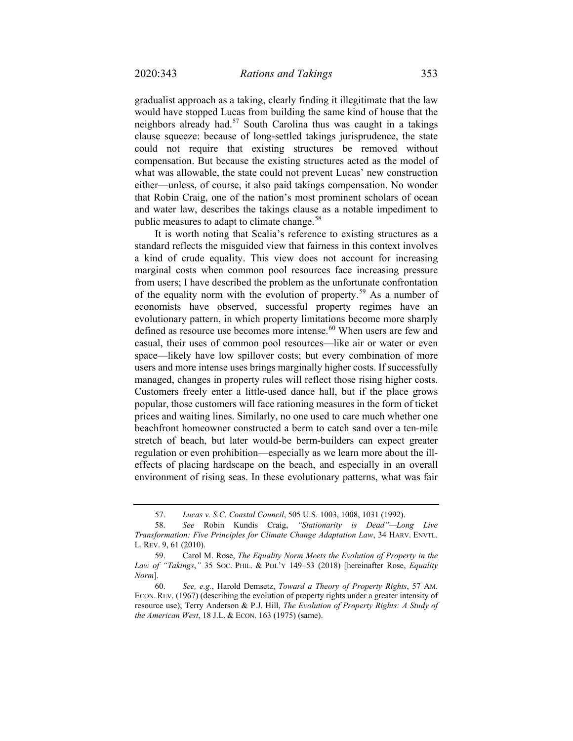gradualist approach as a taking, clearly finding it illegitimate that the law would have stopped Lucas from building the same kind of house that the neighbors already had.<sup>[57](#page-10-0)</sup> South Carolina thus was caught in a takings clause squeeze: because of long-settled takings jurisprudence, the state could not require that existing structures be removed without compensation. But because the existing structures acted as the model of what was allowable, the state could not prevent Lucas' new construction either—unless, of course, it also paid takings compensation. No wonder that Robin Craig, one of the nation's most prominent scholars of ocean and water law, describes the takings clause as a notable impediment to public measures to adapt to climate change.<sup>[58](#page-10-1)</sup>

<span id="page-10-4"></span>It is worth noting that Scalia's reference to existing structures as a standard reflects the misguided view that fairness in this context involves a kind of crude equality. This view does not account for increasing marginal costs when common pool resources face increasing pressure from users; I have described the problem as the unfortunate confrontation of the equality norm with the evolution of property.<sup>[59](#page-10-2)</sup> As a number of economists have observed, successful property regimes have an evolutionary pattern, in which property limitations become more sharply defined as resource use becomes more intense.<sup>[60](#page-10-3)</sup> When users are few and casual, their uses of common pool resources—like air or water or even space—likely have low spillover costs; but every combination of more users and more intense uses brings marginally higher costs. If successfully managed, changes in property rules will reflect those rising higher costs. Customers freely enter a little-used dance hall, but if the place grows popular, those customers will face rationing measures in the form of ticket prices and waiting lines. Similarly, no one used to care much whether one beachfront homeowner constructed a berm to catch sand over a ten-mile stretch of beach, but later would-be berm-builders can expect greater regulation or even prohibition—especially as we learn more about the illeffects of placing hardscape on the beach, and especially in an overall environment of rising seas. In these evolutionary patterns, what was fair

<sup>57.</sup> *Lucas v. S.C. Coastal Council*, 505 U.S. 1003, 1008, 1031 (1992).

<span id="page-10-1"></span><span id="page-10-0"></span><sup>58.</sup> *See* Robin Kundis Craig, *"Stationarity is Dead"—Long Live Transformation: Five Principles for Climate Change Adaptation Law*, 34 HARV. ENVTL. L. REV. 9, 61 (2010).

<span id="page-10-2"></span><sup>59.</sup> Carol M. Rose, *The Equality Norm Meets the Evolution of Property in the Law of "Takings*,*"* 35 SOC. PHIL. & POL'Y 149–53 (2018) [hereinafter Rose, *Equality Norm*].

<span id="page-10-3"></span><sup>60.</sup> *See, e.g.*, Harold Demsetz, *Toward a Theory of Property Rights*, 57 AM. ECON. REV. (1967) (describing the evolution of property rights under a greater intensity of resource use); Terry Anderson & P.J. Hill, *The Evolution of Property Rights: A Study of the American West*, 18 J.L. & ECON. 163 (1975) (same).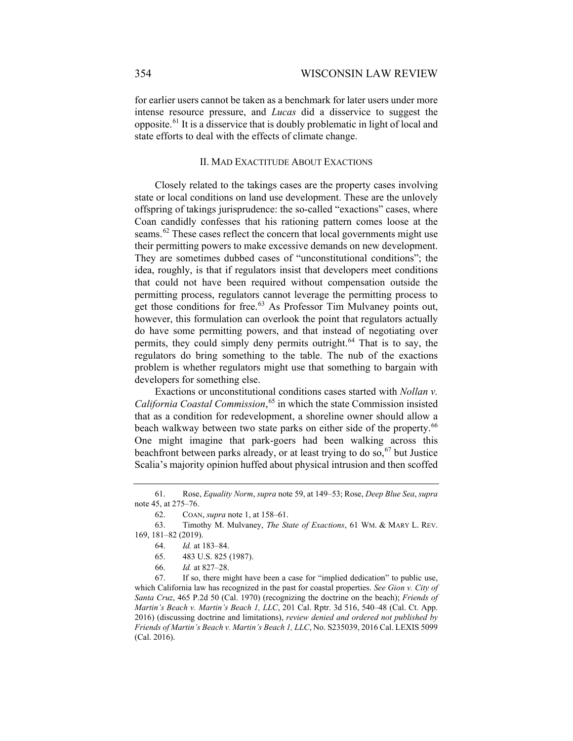for earlier users cannot be taken as a benchmark for later users under more intense resource pressure, and *Lucas* did a disservice to suggest the opposite.[61](#page-11-0) It is a disservice that is doubly problematic in light of local and state efforts to deal with the effects of climate change.

### II. MAD EXACTITUDE ABOUT EXACTIONS

Closely related to the takings cases are the property cases involving state or local conditions on land use development. These are the unlovely offspring of takings jurisprudence: the so-called "exactions" cases, where Coan candidly confesses that his rationing pattern comes loose at the seams.<sup>[62](#page-11-1)</sup> These cases reflect the concern that local governments might use their permitting powers to make excessive demands on new development. They are sometimes dubbed cases of "unconstitutional conditions"; the idea, roughly, is that if regulators insist that developers meet conditions that could not have been required without compensation outside the permitting process, regulators cannot leverage the permitting process to get those conditions for free.<sup>[63](#page-11-2)</sup> As Professor Tim Mulvaney points out, however, this formulation can overlook the point that regulators actually do have some permitting powers, and that instead of negotiating over permits, they could simply deny permits outright.<sup>[64](#page-11-3)</sup> That is to say, the regulators do bring something to the table. The nub of the exactions problem is whether regulators might use that something to bargain with developers for something else.

<span id="page-11-7"></span>Exactions or unconstitutional conditions cases started with *Nollan v. California Coastal Commission*, [65](#page-11-4) in which the state Commission insisted that as a condition for redevelopment, a shoreline owner should allow a beach walkway between two state parks on either side of the property.<sup>[66](#page-11-5)</sup> One might imagine that park-goers had been walking across this beachfront between parks already, or at least trying to do so,  $67$  but Justice Scalia's majority opinion huffed about physical intrusion and then scoffed

- 65. 483 U.S. 825 (1987).
- 66. *Id.* at 827–28.

<span id="page-11-6"></span><span id="page-11-5"></span><span id="page-11-4"></span>67. If so, there might have been a case for "implied dedication" to public use, which California law has recognized in the past for coastal properties. *See Gion v. City of Santa Cruz*, 465 P.2d 50 (Cal. 1970) (recognizing the doctrine on the beach); *Friends of Martin's Beach v. Martin's Beach 1, LLC*, 201 Cal. Rptr. 3d 516, 540–48 (Cal. Ct. App. 2016) (discussing doctrine and limitations), *review denied and ordered not published by Friends of Martin's Beach v. Martin's Beach 1, LLC*, No. S235039, 2016 Cal. LEXIS 5099 (Cal. 2016).

<span id="page-11-0"></span><sup>61.</sup> Rose, *Equality Norm*, *supra* note [59,](#page-10-4) at 149–53; Rose, *Deep Blue Sea*, *supra*  not[e 45,](#page-8-6) at 275–76.

<sup>62.</sup> COAN, *supra* not[e 1,](#page-1-4) at 158–61.

<span id="page-11-3"></span><span id="page-11-2"></span><span id="page-11-1"></span><sup>63.</sup> Timothy M. Mulvaney, *The State of Exactions*, 61 WM. & MARY L. REV. 169, 181–82 (2019).

<sup>64.</sup> *Id.* at 183–84.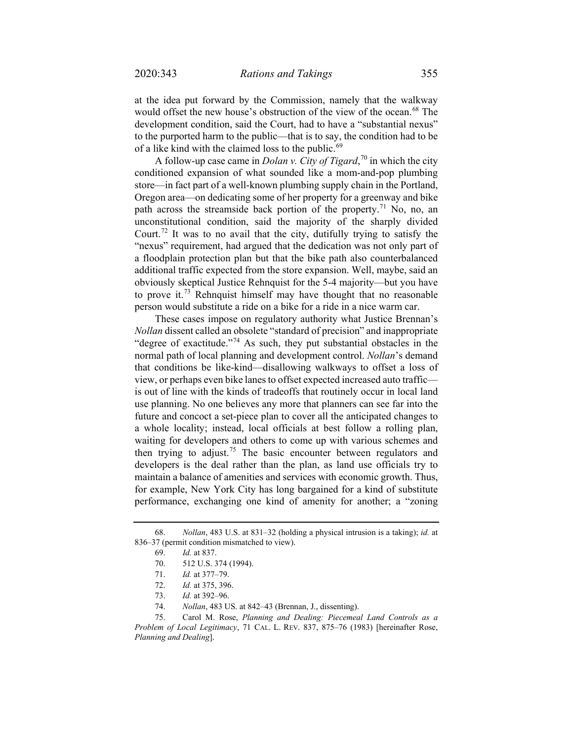at the idea put forward by the Commission, namely that the walkway would offset the new house's obstruction of the view of the ocean.<sup>[68](#page-12-0)</sup> The development condition, said the Court, had to have a "substantial nexus" to the purported harm to the public—that is to say, the condition had to be of a like kind with the claimed loss to the public.<sup>[69](#page-12-1)</sup>

A follow-up case came in *Dolan v. City of Tigard*, [70](#page-12-2) in which the city conditioned expansion of what sounded like a mom-and-pop plumbing store—in fact part of a well-known plumbing supply chain in the Portland, Oregon area—on dedicating some of her property for a greenway and bike path across the streamside back portion of the property.<sup>[71](#page-12-3)</sup> No, no, an unconstitutional condition, said the majority of the sharply divided Court.<sup>[72](#page-12-4)</sup> It was to no avail that the city, dutifully trying to satisfy the "nexus" requirement, had argued that the dedication was not only part of a floodplain protection plan but that the bike path also counterbalanced additional traffic expected from the store expansion. Well, maybe, said an obviously skeptical Justice Rehnquist for the 5-4 majority—but you have to prove it.<sup>[73](#page-12-5)</sup> Rehnquist himself may have thought that no reasonable person would substitute a ride on a bike for a ride in a nice warm car.

These cases impose on regulatory authority what Justice Brennan's *Nollan* dissent called an obsolete "standard of precision" and inappropriate "degree of exactitude."<sup>[74](#page-12-6)</sup> As such, they put substantial obstacles in the normal path of local planning and development control. *Nollan*'s demand that conditions be like-kind—disallowing walkways to offset a loss of view, or perhaps even bike lanes to offset expected increased auto traffic is out of line with the kinds of tradeoffs that routinely occur in local land use planning. No one believes any more that planners can see far into the future and concoct a set-piece plan to cover all the anticipated changes to a whole locality; instead, local officials at best follow a rolling plan, waiting for developers and others to come up with various schemes and then trying to adjust.<sup>[75](#page-12-7)</sup> The basic encounter between regulators and developers is the deal rather than the plan, as land use officials try to maintain a balance of amenities and services with economic growth. Thus, for example, New York City has long bargained for a kind of substitute performance, exchanging one kind of amenity for another; a "zoning

<span id="page-12-8"></span><span id="page-12-3"></span><span id="page-12-2"></span><span id="page-12-1"></span><span id="page-12-0"></span><sup>68.</sup> *Nollan*, 483 U.S. at 831–32 (holding a physical intrusion is a taking); *id.* at 836–37 (permit condition mismatched to view).

<sup>69.</sup> *Id.* at 837.

<sup>70.</sup> 512 U.S. 374 (1994).

<sup>71.</sup> *Id.* at 377–79.

<sup>72.</sup> *Id.* at 375, 396.

<sup>73.</sup> *Id.* at 392–96.

<sup>74.</sup> *Nollan*, 483 US. at 842–43 (Brennan, J., dissenting).

<span id="page-12-7"></span><span id="page-12-6"></span><span id="page-12-5"></span><span id="page-12-4"></span><sup>75.</sup> Carol M. Rose, *Planning and Dealing: Piecemeal Land Controls as a Problem of Local Legitimacy*, 71 CAL. L. REV. 837, 875–76 (1983) [hereinafter Rose, *Planning and Dealing*].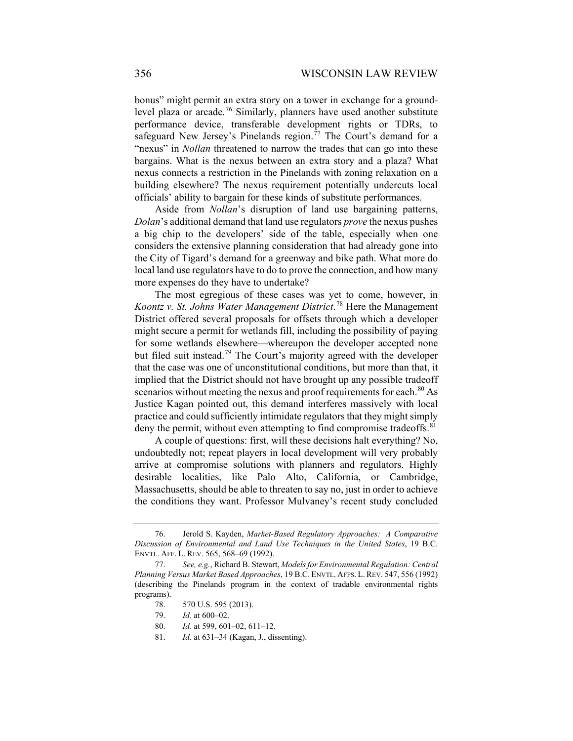bonus" might permit an extra story on a tower in exchange for a ground-level plaza or arcade.<sup>[76](#page-13-0)</sup> Similarly, planners have used another substitute performance device, transferable development rights or TDRs, to safeguard New Jersey's Pinelands region.<sup> $77$ </sup> The Court's demand for a "nexus" in *Nollan* threatened to narrow the trades that can go into these bargains. What is the nexus between an extra story and a plaza? What nexus connects a restriction in the Pinelands with zoning relaxation on a building elsewhere? The nexus requirement potentially undercuts local officials' ability to bargain for these kinds of substitute performances.

Aside from *Nollan*'s disruption of land use bargaining patterns, *Dolan*'s additional demand that land use regulators *prove* the nexus pushes a big chip to the developers' side of the table, especially when one considers the extensive planning consideration that had already gone into the City of Tigard's demand for a greenway and bike path. What more do local land use regulators have to do to prove the connection, and how many more expenses do they have to undertake?

The most egregious of these cases was yet to come, however, in *Koontz v. St. Johns Water Management District*. [78](#page-13-2) Here the Management District offered several proposals for offsets through which a developer might secure a permit for wetlands fill, including the possibility of paying for some wetlands elsewhere—whereupon the developer accepted none but filed suit instead.[79](#page-13-3) The Court's majority agreed with the developer that the case was one of unconstitutional conditions, but more than that, it implied that the District should not have brought up any possible tradeoff scenarios without meeting the nexus and proof requirements for each.<sup>[80](#page-13-4)</sup> As Justice Kagan pointed out, this demand interferes massively with local practice and could sufficiently intimidate regulators that they might simply deny the permit, without even attempting to find compromise tradeoffs.<sup>[81](#page-13-5)</sup>

A couple of questions: first, will these decisions halt everything? No, undoubtedly not; repeat players in local development will very probably arrive at compromise solutions with planners and regulators. Highly desirable localities, like Palo Alto, California, or Cambridge, Massachusetts, should be able to threaten to say no, just in order to achieve the conditions they want. Professor Mulvaney's recent study concluded

81. *Id.* at 631–34 (Kagan, J., dissenting).

<span id="page-13-0"></span><sup>76.</sup> Jerold S. Kayden, *Market-Based Regulatory Approaches: A Comparative Discussion of Environmental and Land Use Techniques in the United States*, 19 B.C. ENVTL. AFF. L. REV. 565, 568–69 (1992).

<span id="page-13-5"></span><span id="page-13-4"></span><span id="page-13-3"></span><span id="page-13-2"></span><span id="page-13-1"></span><sup>77.</sup> *See, e.g.*, Richard B. Stewart, *Models for Environmental Regulation: Central Planning Versus Market Based Approaches*, 19 B.C. ENVTL. AFFS. L.REV. 547, 556 (1992) (describing the Pinelands program in the context of tradable environmental rights programs).

<sup>78.</sup> 570 U.S. 595 (2013).

<sup>79.</sup> *Id.* at 600–02.

<sup>80.</sup> *Id.* at 599, 601–02, 611–12.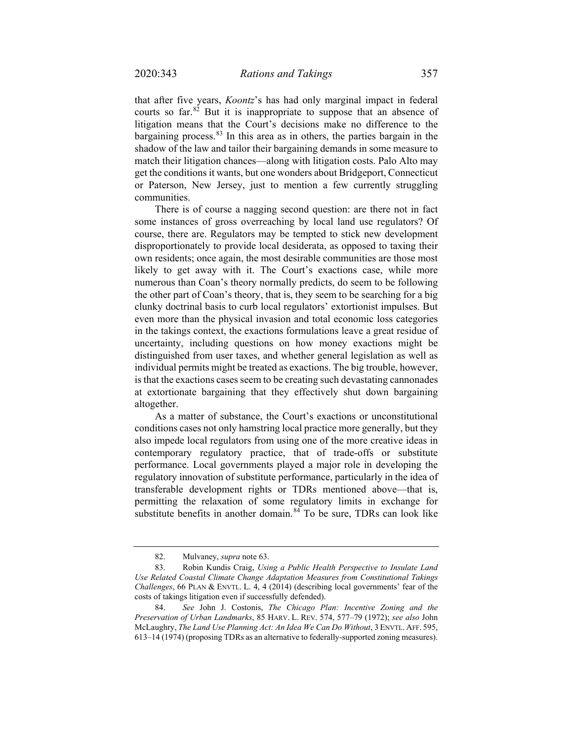that after five years, *Koontz*'s has had only marginal impact in federal courts so far. $82$  But it is inappropriate to suppose that an absence of litigation means that the Court's decisions make no difference to the bargaining process.[83](#page-14-1) In this area as in others, the parties bargain in the shadow of the law and tailor their bargaining demands in some measure to match their litigation chances—along with litigation costs. Palo Alto may get the conditions it wants, but one wonders about Bridgeport, Connecticut or Paterson, New Jersey, just to mention a few currently struggling communities.

There is of course a nagging second question: are there not in fact some instances of gross overreaching by local land use regulators? Of course, there are. Regulators may be tempted to stick new development disproportionately to provide local desiderata, as opposed to taxing their own residents; once again, the most desirable communities are those most likely to get away with it. The Court's exactions case, while more numerous than Coan's theory normally predicts, do seem to be following the other part of Coan's theory, that is, they seem to be searching for a big clunky doctrinal basis to curb local regulators' extortionist impulses. But even more than the physical invasion and total economic loss categories in the takings context, the exactions formulations leave a great residue of uncertainty, including questions on how money exactions might be distinguished from user taxes, and whether general legislation as well as individual permits might be treated as exactions. The big trouble, however, is that the exactions cases seem to be creating such devastating cannonades at extortionate bargaining that they effectively shut down bargaining altogether.

As a matter of substance, the Court's exactions or unconstitutional conditions cases not only hamstring local practice more generally, but they also impede local regulators from using one of the more creative ideas in contemporary regulatory practice, that of trade-offs or substitute performance. Local governments played a major role in developing the regulatory innovation of substitute performance, particularly in the idea of transferable development rights or TDRs mentioned above—that is, permitting the relaxation of some regulatory limits in exchange for substitute benefits in another domain.<sup>[84](#page-14-2)</sup> To be sure, TDRs can look like

<span id="page-14-3"></span><sup>82.</sup> Mulvaney, *supra* not[e 63.](#page-11-7)

<span id="page-14-1"></span><span id="page-14-0"></span><sup>83.</sup> Robin Kundis Craig, *Using a Public Health Perspective to Insulate Land Use Related Coastal Climate Change Adaptation Measures from Constitutional Takings Challenges*, 66 PLAN & ENVTL. L. 4, 4 (2014) (describing local governments' fear of the costs of takings litigation even if successfully defended).

<span id="page-14-2"></span><sup>84.</sup> *See* John J. Costonis, *The Chicago Plan: Incentive Zoning and the Preservation of Urban Landmarks*, 85 HARV. L. REV. 574, 577–79 (1972); *see also* John McLaughry, *The Land Use Planning Act: An Idea We Can Do Without*, 3 ENVTL. AFF. 595, 613–14 (1974) (proposing TDRs as an alternative to federally-supported zoning measures).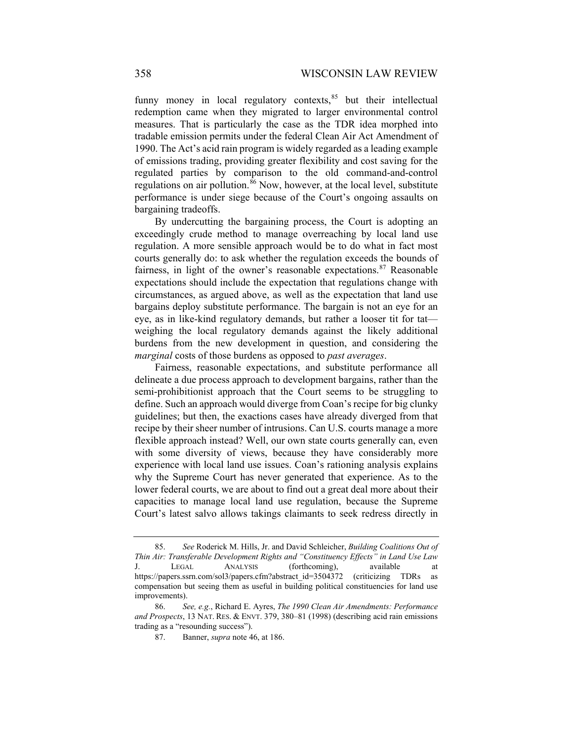funny money in local regulatory contexts, $85$  but their intellectual redemption came when they migrated to larger environmental control measures. That is particularly the case as the TDR idea morphed into tradable emission permits under the federal Clean Air Act Amendment of 1990. The Act's acid rain program is widely regarded as a leading example of emissions trading, providing greater flexibility and cost saving for the regulated parties by comparison to the old command-and-control regulations on air pollution.<sup>[86](#page-15-1)</sup> Now, however, at the local level, substitute performance is under siege because of the Court's ongoing assaults on bargaining tradeoffs.

By undercutting the bargaining process, the Court is adopting an exceedingly crude method to manage overreaching by local land use regulation. A more sensible approach would be to do what in fact most courts generally do: to ask whether the regulation exceeds the bounds of fairness, in light of the owner's reasonable expectations. $87$  Reasonable expectations should include the expectation that regulations change with circumstances, as argued above, as well as the expectation that land use bargains deploy substitute performance. The bargain is not an eye for an eye, as in like-kind regulatory demands, but rather a looser tit for tat weighing the local regulatory demands against the likely additional burdens from the new development in question, and considering the *marginal* costs of those burdens as opposed to *past averages*.

Fairness, reasonable expectations, and substitute performance all delineate a due process approach to development bargains, rather than the semi-prohibitionist approach that the Court seems to be struggling to define. Such an approach would diverge from Coan's recipe for big clunky guidelines; but then, the exactions cases have already diverged from that recipe by their sheer number of intrusions. Can U.S. courts manage a more flexible approach instead? Well, our own state courts generally can, even with some diversity of views, because they have considerably more experience with local land use issues. Coan's rationing analysis explains why the Supreme Court has never generated that experience. As to the lower federal courts, we are about to find out a great deal more about their capacities to manage local land use regulation, because the Supreme Court's latest salvo allows takings claimants to seek redress directly in

<span id="page-15-0"></span><sup>85.</sup> *See* Roderick M. Hills, Jr. and David Schleicher, *Building Coalitions Out of Thin Air: Transferable Development Rights and "Constituency Effects" in Land Use Law* J. LEGAL ANALYSIS (forthcoming), available at [https://papers.ssrn.com/sol3/papers.cfm?abstract\\_id=3504372](https://papers.ssrn.com/sol3/papers.cfm?abstract_id=3504372) (criticizing TDRs as compensation but seeing them as useful in building political constituencies for land use improvements).

<span id="page-15-2"></span><span id="page-15-1"></span><sup>86.</sup> *See, e.g.*, Richard E. Ayres, *The 1990 Clean Air Amendments: Performance and Prospects*, 13 NAT. RES. & ENVT. 379, 380–81 (1998) (describing acid rain emissions trading as a "resounding success").

<sup>87.</sup> Banner, *supra* note [46,](#page-8-7) at 186.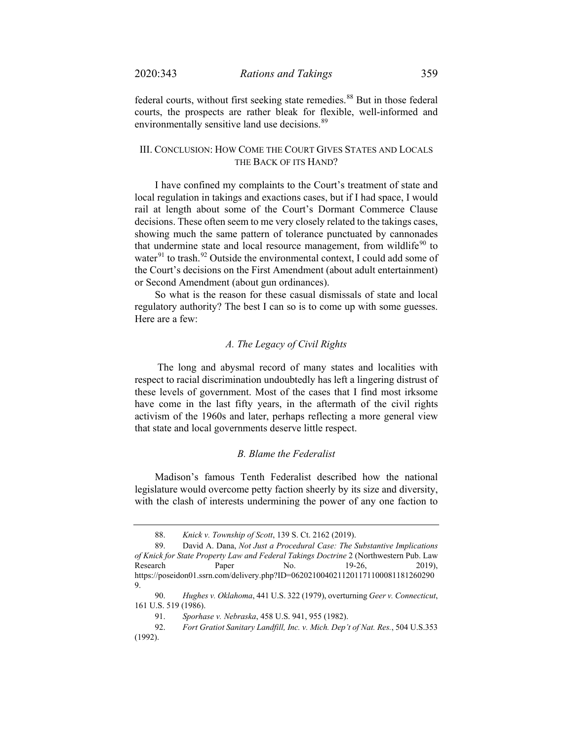federal courts, without first seeking state remedies.<sup>[88](#page-16-0)</sup> But in those federal courts, the prospects are rather bleak for flexible, well-informed and environmentally sensitive land use decisions.<sup>[89](#page-16-1)</sup>

# III. CONCLUSION: HOW COME THE COURT GIVES STATES AND LOCALS THE BACK OF ITS HAND?

I have confined my complaints to the Court's treatment of state and local regulation in takings and exactions cases, but if I had space, I would rail at length about some of the Court's Dormant Commerce Clause decisions. These often seem to me very closely related to the takings cases, showing much the same pattern of tolerance punctuated by cannonades that undermine state and local resource management, from wildlife $90$  to water $91$  to trash.<sup>[92](#page-16-4)</sup> Outside the environmental context, I could add some of the Court's decisions on the First Amendment (about adult entertainment) or Second Amendment (about gun ordinances).

So what is the reason for these casual dismissals of state and local regulatory authority? The best I can so is to come up with some guesses. Here are a few:

### *A. The Legacy of Civil Rights*

The long and abysmal record of many states and localities with respect to racial discrimination undoubtedly has left a lingering distrust of these levels of government. Most of the cases that I find most irksome have come in the last fifty years, in the aftermath of the civil rights activism of the 1960s and later, perhaps reflecting a more general view that state and local governments deserve little respect.

### *B. Blame the Federalist*

Madison's famous Tenth Federalist described how the national legislature would overcome petty faction sheerly by its size and diversity, with the clash of interests undermining the power of any one faction to

<sup>88.</sup> *Knick v. Township of Scott*, 139 S. Ct. 2162 (2019).

<span id="page-16-1"></span><span id="page-16-0"></span><sup>89.</sup> David A. Dana, *Not Just a Procedural Case: The Substantive Implications of Knick for State Property Law and Federal Takings Doctrine* 2 (Northwestern Pub. Law Research Paper No. 19-26, 2019), https://poseidon01.ssrn.com/delivery.php?ID=0620210040211201171100081181260290 9.

<span id="page-16-2"></span><sup>90.</sup> *Hughes v. Oklahoma*, 441 U.S. 322 (1979), overturning *Geer v. Connecticut*, 161 U.S. 519 (1986).

<sup>91.</sup> *Sporhase v. Nebraska*, 458 U.S. 941, 955 (1982).

<span id="page-16-4"></span><span id="page-16-3"></span><sup>92.</sup> *Fort Gratiot Sanitary Landfill, Inc. v. Mich. Dep't of Nat. Res.*, 504 U.S.353 (1992).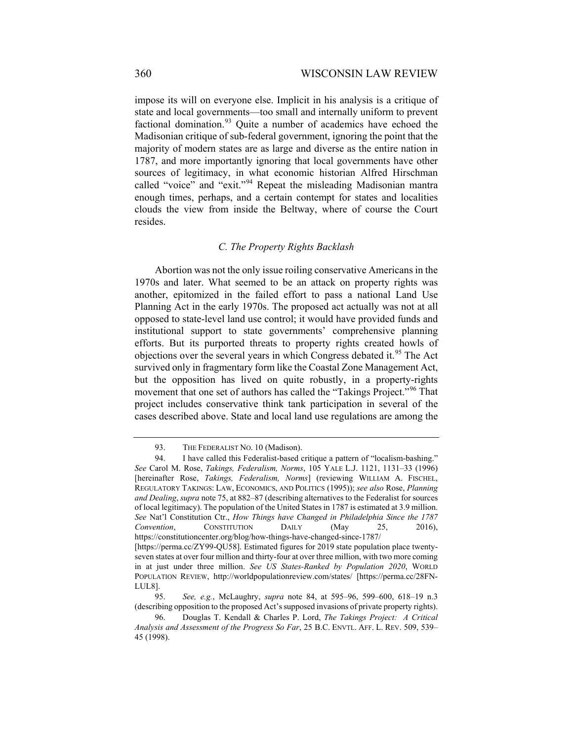impose its will on everyone else. Implicit in his analysis is a critique of state and local governments—too small and internally uniform to prevent factional domination.<sup>[93](#page-17-0)</sup> Quite a number of academics have echoed the Madisonian critique of sub-federal government, ignoring the point that the majority of modern states are as large and diverse as the entire nation in 1787, and more importantly ignoring that local governments have other sources of legitimacy, in what economic historian Alfred Hirschman called "voice" and "exit."[94](#page-17-1) Repeat the misleading Madisonian mantra enough times, perhaps, and a certain contempt for states and localities clouds the view from inside the Beltway, where of course the Court resides.

### <span id="page-17-4"></span>*C. The Property Rights Backlash*

Abortion was not the only issue roiling conservative Americans in the 1970s and later. What seemed to be an attack on property rights was another, epitomized in the failed effort to pass a national Land Use Planning Act in the early 1970s. The proposed act actually was not at all opposed to state-level land use control; it would have provided funds and institutional support to state governments' comprehensive planning efforts. But its purported threats to property rights created howls of objections over the several years in which Congress debated it.<sup>[95](#page-17-2)</sup> The Act survived only in fragmentary form like the Coastal Zone Management Act, but the opposition has lived on quite robustly, in a property-rights movement that one set of authors has called the "Takings Project."<sup>[96](#page-17-3)</sup> That project includes conservative think tank participation in several of the cases described above. State and local land use regulations are among the

<sup>93.</sup> THE FEDERALIST No. 10 (Madison).

<span id="page-17-1"></span><span id="page-17-0"></span><sup>94.</sup> I have called this Federalist-based critique a pattern of "localism-bashing." *See* Carol M. Rose, *Takings, Federalism, Norms*, 105 YALE L.J. 1121, 1131–33 (1996) [hereinafter Rose, *Takings, Federalism, Norms*] (reviewing WILLIAM A. FISCHEL, REGULATORY TAKINGS: LAW, ECONOMICS, AND POLITICS (1995)); *see also* Rose, *Planning and Dealing*, *supra* note [75,](#page-12-8) at 882–87 (describing alternatives to the Federalist for sources of local legitimacy). The population of the United States in 1787 is estimated at 3.9 million. *See* Nat'l Constitution Ctr., *How Things have Changed in Philadelphia Since the 1787 Convention*, CONSTITUTION DAILY (May 25, 2016), <https://constitutioncenter.org/blog/how-things-have-changed-since-1787/> [https://perma.cc/ZY99-QU58]. Estimated figures for 2019 state population place twentyseven states at over four million and thirty-four at over three million, with two more coming

in at just under three million. *See US States-Ranked by Population 2020*, WORLD POPULATION REVIEW, <http://worldpopulationreview.com/states/> [https://perma.cc/28FN-LUL8].

<span id="page-17-2"></span><sup>95.</sup> *See, e.g.*, McLaughry, *supra* note [84,](#page-14-3) at 595–96, 599–600, 618–19 n.3 (describing opposition to the proposed Act's supposed invasions of private property rights).

<span id="page-17-3"></span><sup>96.</sup> Douglas T. Kendall & Charles P. Lord, *The Takings Project: A Critical Analysis and Assessment of the Progress So Far*, 25 B.C. ENVTL. AFF. L. REV. 509, 539– 45 (1998).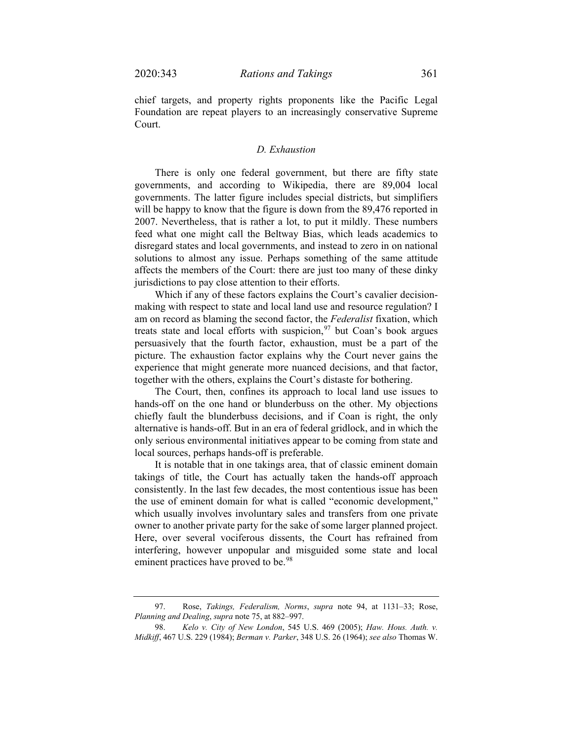chief targets, and property rights proponents like the Pacific Legal Foundation are repeat players to an increasingly conservative Supreme Court.

# *D. Exhaustion*

There is only one federal government, but there are fifty state governments, and according to Wikipedia, there are 89,004 local governments. The latter figure includes special districts, but simplifiers will be happy to know that the figure is down from the 89,476 reported in 2007. Nevertheless, that is rather a lot, to put it mildly. These numbers feed what one might call the Beltway Bias, which leads academics to disregard states and local governments, and instead to zero in on national solutions to almost any issue. Perhaps something of the same attitude affects the members of the Court: there are just too many of these dinky jurisdictions to pay close attention to their efforts.

Which if any of these factors explains the Court's cavalier decisionmaking with respect to state and local land use and resource regulation? I am on record as blaming the second factor, the *Federalist* fixation, which treats state and local efforts with suspicion,  $97$  but Coan's book argues persuasively that the fourth factor, exhaustion, must be a part of the picture. The exhaustion factor explains why the Court never gains the experience that might generate more nuanced decisions, and that factor, together with the others, explains the Court's distaste for bothering.

The Court, then, confines its approach to local land use issues to hands-off on the one hand or blunderbuss on the other. My objections chiefly fault the blunderbuss decisions, and if Coan is right, the only alternative is hands-off. But in an era of federal gridlock, and in which the only serious environmental initiatives appear to be coming from state and local sources, perhaps hands-off is preferable.

It is notable that in one takings area, that of classic eminent domain takings of title, the Court has actually taken the hands-off approach consistently. In the last few decades, the most contentious issue has been the use of eminent domain for what is called "economic development," which usually involves involuntary sales and transfers from one private owner to another private party for the sake of some larger planned project. Here, over several vociferous dissents, the Court has refrained from interfering, however unpopular and misguided some state and local eminent practices have proved to be.<sup>[98](#page-18-1)</sup>

<span id="page-18-0"></span><sup>97.</sup> Rose, *Takings, Federalism, Norms*, *supra* note [94,](#page-17-4) at 1131–33; Rose, *Planning and Dealing*, *supra* note [75,](#page-12-8) at 882–997.

<span id="page-18-1"></span><sup>98.</sup> *Kelo v. City of New London*, 545 U.S. 469 (2005); *Haw. Hous. Auth. v. Midkiff*, 467 U.S. 229 (1984); *Berman v. Parker*, 348 U.S. 26 (1964); *see also* Thomas W.